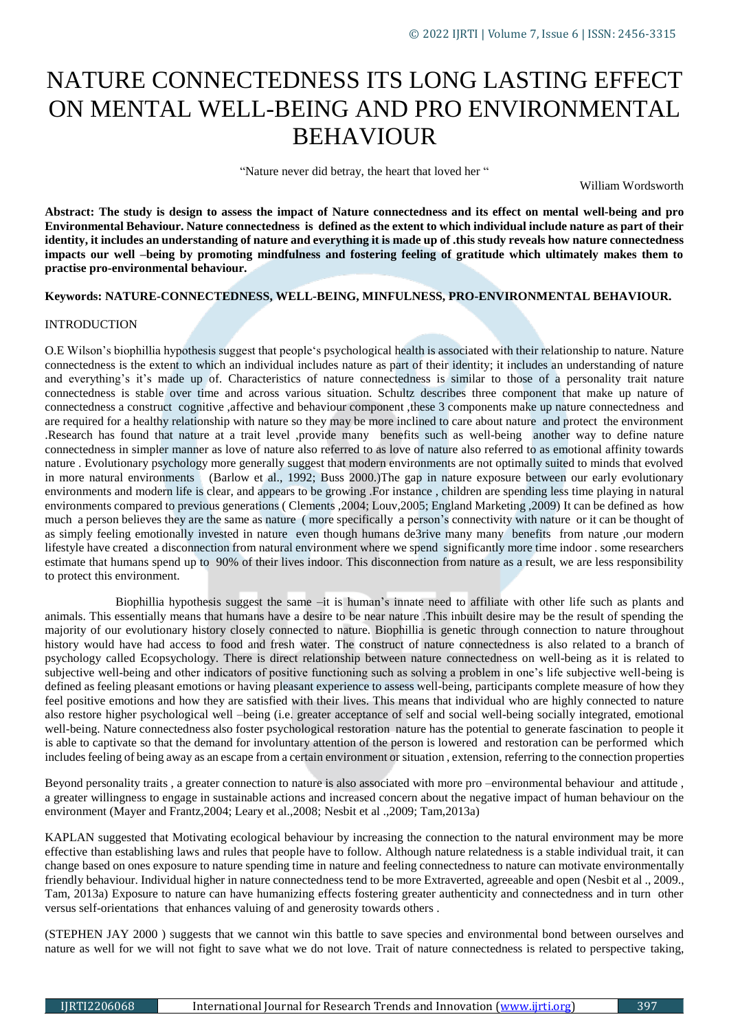# NATURE CONNECTEDNESS ITS LONG LASTING EFFECT ON MENTAL WELL-BEING AND PRO ENVIRONMENTAL BEHAVIOUR

"Nature never did betray, the heart that loved her "

William Wordsworth

**Abstract: The study is design to assess the impact of Nature connectedness and its effect on mental well-being and pro Environmental Behaviour. Nature connectedness is defined as the extent to which individual include nature as part of their identity, it includes an understanding of nature and everything it is made up of .this study reveals how nature connectedness impacts our well –being by promoting mindfulness and fostering feeling of gratitude which ultimately makes them to practise pro-environmental behaviour.**

## **Keywords: NATURE-CONNECTEDNESS, WELL-BEING, MINFULNESS, PRO-ENVIRONMENTAL BEHAVIOUR.**

## INTRODUCTION

O.E Wilson's biophillia hypothesis suggest that people's psychological health is associated with their relationship to nature. Nature connectedness is the extent to which an individual includes nature as part of their identity; it includes an understanding of nature and everything's it's made up of. Characteristics of nature connectedness is similar to those of a personality trait nature connectedness is stable over time and across various situation. Schultz describes three component that make up nature of connectedness a construct cognitive ,affective and behaviour component ,these 3 components make up nature connectedness and are required for a healthy relationship with nature so they may be more inclined to care about nature and protect the environment .Research has found that nature at a trait level ,provide many benefits such as well-being another way to define nature connectedness in simpler manner as love of nature also referred to as love of nature also referred to as emotional affinity towards nature . Evolutionary psychology more generally suggest that modern environments are not optimally suited to minds that evolved in more natural environments (Barlow et al., 1992; Buss 2000.)The gap in nature exposure between our early evolutionary environments and modern life is clear, and appears to be growing .For instance , children are spending less time playing in natural environments compared to previous generations ( Clements ,2004; Louv,2005; England Marketing ,2009) It can be defined as how much a person believes they are the same as nature ( more specifically a person's connectivity with nature or it can be thought of as simply feeling emotionally invested in nature even though humans de3rive many many benefits from nature ,our modern lifestyle have created a disconnection from natural environment where we spend significantly more time indoor . some researchers estimate that humans spend up to 90% of their lives indoor. This disconnection from nature as a result, we are less responsibility to protect this environment.

 Biophillia hypothesis suggest the same –it is human's innate need to affiliate with other life such as plants and animals. This essentially means that humans have a desire to be near nature .This inbuilt desire may be the result of spending the majority of our evolutionary history closely connected to nature. Biophillia is genetic through connection to nature throughout history would have had access to food and fresh water. The construct of nature connectedness is also related to a branch of psychology called Ecopsychology. There is direct relationship between nature connectedness on well-being as it is related to subjective well-being and other indicators of positive functioning such as solving a problem in one's life subjective well-being is defined as feeling pleasant emotions or having pleasant experience to assess well-being, participants complete measure of how they feel positive emotions and how they are satisfied with their lives. This means that individual who are highly connected to nature also restore higher psychological well –being (i.e. greater acceptance of self and social well-being socially integrated, emotional well-being. Nature connectedness also foster psychological restoration nature has the potential to generate fascination to people it is able to captivate so that the demand for involuntary attention of the person is lowered and restoration can be performed which includes feeling of being away as an escape from a certain environment or situation , extension, referring to the connection properties

Beyond personality traits , a greater connection to nature is also associated with more pro –environmental behaviour and attitude , a greater willingness to engage in sustainable actions and increased concern about the negative impact of human behaviour on the environment (Mayer and Frantz,2004; Leary et al.,2008; Nesbit et al .,2009; Tam,2013a)

KAPLAN suggested that Motivating ecological behaviour by increasing the connection to the natural environment may be more effective than establishing laws and rules that people have to follow. Although nature relatedness is a stable individual trait, it can change based on ones exposure to nature spending time in nature and feeling connectedness to nature can motivate environmentally friendly behaviour. Individual higher in nature connectedness tend to be more Extraverted, agreeable and open (Nesbit et al ., 2009., Tam, 2013a) Exposure to nature can have humanizing effects fostering greater authenticity and connectedness and in turn other versus self-orientations that enhances valuing of and generosity towards others .

(STEPHEN JAY 2000 ) suggests that we cannot win this battle to save species and environmental bond between ourselves and nature as well for we will not fight to save what we do not love. Trait of nature connectedness is related to perspective taking,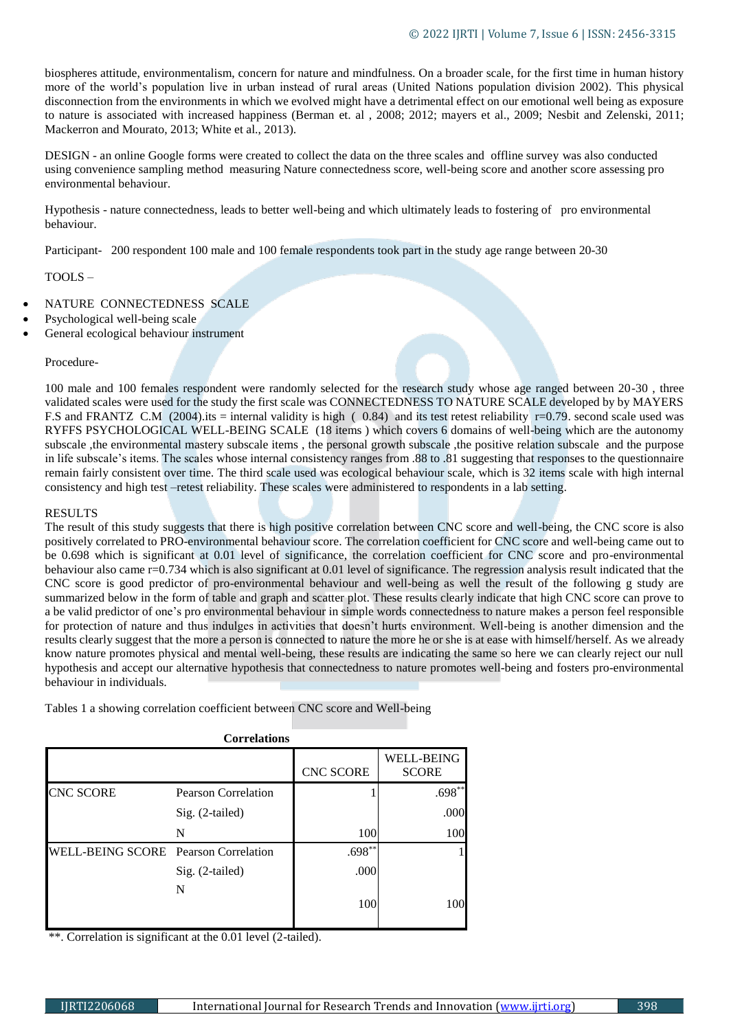biospheres attitude, environmentalism, concern for nature and mindfulness. On a broader scale, for the first time in human history more of the world's population live in urban instead of rural areas (United Nations population division 2002). This physical disconnection from the environments in which we evolved might have a detrimental effect on our emotional well being as exposure to nature is associated with increased happiness (Berman et. al , 2008; 2012; mayers et al., 2009; Nesbit and Zelenski, 2011; Mackerron and Mourato, 2013; White et al., 2013).

DESIGN - an online Google forms were created to collect the data on the three scales and offline survey was also conducted using convenience sampling method measuring Nature connectedness score, well-being score and another score assessing pro environmental behaviour.

Hypothesis - nature connectedness, leads to better well-being and which ultimately leads to fostering of pro environmental behaviour.

Participant- 200 respondent 100 male and 100 female respondents took part in the study age range between 20-30

TOOLS –

- NATURE CONNECTEDNESS SCALE
- Psychological well-being scale
- General ecological behaviour instrument

#### Procedure-

100 male and 100 females respondent were randomly selected for the research study whose age ranged between 20-30 , three validated scales were used for the study the first scale was CONNECTEDNESS TO NATURE SCALE developed by by MAYERS F.S and FRANTZ C.M (2004).its = internal validity is high (0.84) and its test retest reliability r=0.79. second scale used was RYFFS PSYCHOLOGICAL WELL-BEING SCALE (18 items ) which covers 6 domains of well-being which are the autonomy subscale ,the environmental mastery subscale items , the personal growth subscale ,the positive relation subscale and the purpose in life subscale's items. The scales whose internal consistency ranges from .88 to .81 suggesting that responses to the questionnaire remain fairly consistent over time. The third scale used was ecological behaviour scale, which is 32 items scale with high internal consistency and high test –retest reliability. These scales were administered to respondents in a lab setting.

#### RESULTS

The result of this study suggests that there is high positive correlation between CNC score and well-being, the CNC score is also positively correlated to PRO-environmental behaviour score. The correlation coefficient for CNC score and well-being came out to be 0.698 which is significant at 0.01 level of significance, the correlation coefficient for CNC score and pro-environmental behaviour also came r=0.734 which is also significant at 0.01 level of significance. The regression analysis result indicated that the CNC score is good predictor of pro-environmental behaviour and well-being as well the result of the following g study are summarized below in the form of table and graph and scatter plot. These results clearly indicate that high CNC score can prove to a be valid predictor of one's pro environmental behaviour in simple words connectedness to nature makes a person feel responsible for protection of nature and thus indulges in activities that doesn't hurts environment. Well-being is another dimension and the results clearly suggest that the more a person is connected to nature the more he or she is at ease with himself/herself. As we already know nature promotes physical and mental well-being, these results are indicating the same so here we can clearly reject our null hypothesis and accept our alternative hypothesis that connectedness to nature promotes well-being and fosters pro-environmental behaviour in individuals.

Tables 1 a showing correlation coefficient between CNC score and Well-being

| <b>Correlations</b>                  |                     |                  |                                   |  |
|--------------------------------------|---------------------|------------------|-----------------------------------|--|
|                                      |                     | <b>CNC SCORE</b> | <b>WELL-BEING</b><br><b>SCORE</b> |  |
| <b>CNC SCORE</b>                     | Pearson Correlation |                  | $.698**$                          |  |
|                                      | Sig. (2-tailed)     |                  | .000                              |  |
|                                      | N                   | 100              | 100                               |  |
| WELL-BEING SCORE Pearson Correlation |                     | $.698**$         |                                   |  |
|                                      | Sig. (2-tailed)     | .000             |                                   |  |
|                                      | N                   | 100              | 100                               |  |

\*\*. Correlation is significant at the 0.01 level (2-tailed).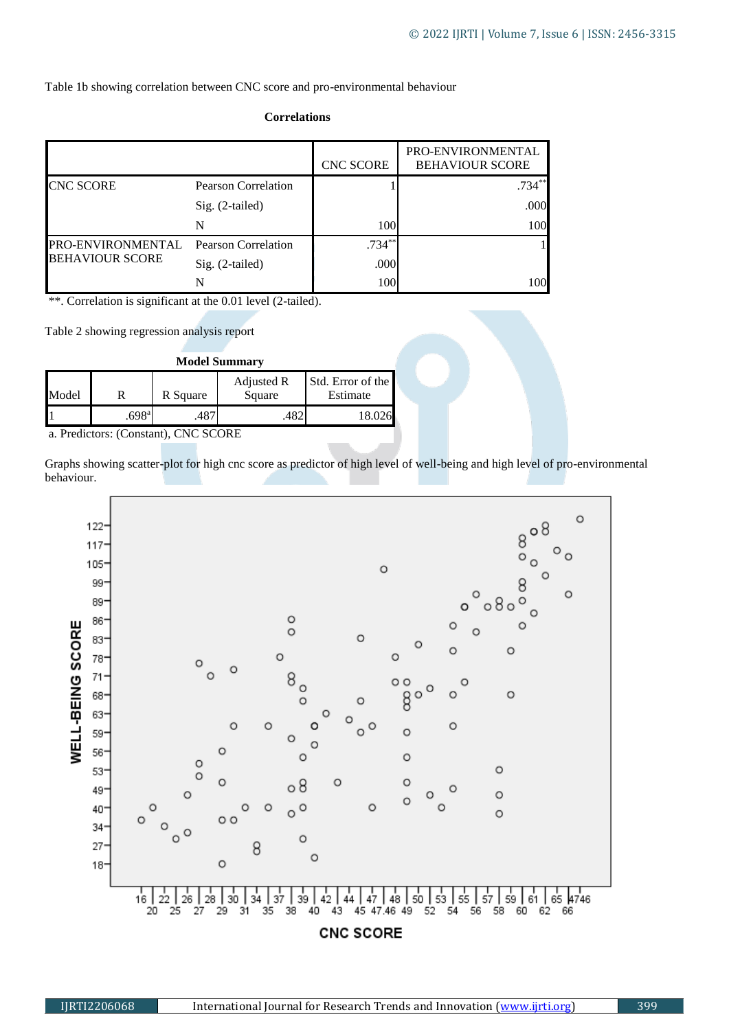Table 1b showing correlation between CNC score and pro-environmental behaviour

| <b>Correlations</b> |
|---------------------|
|---------------------|

|                                             |                            | <b>CNC SCORE</b> | PRO-ENVIRONMENTAL<br><b>BEHAVIOUR SCORE</b> |
|---------------------------------------------|----------------------------|------------------|---------------------------------------------|
| <b>CNC SCORE</b>                            | <b>Pearson Correlation</b> |                  | $.734**$                                    |
|                                             | $Sig. (2-tailed)$          |                  | .000                                        |
|                                             | N                          | 100              | 100                                         |
| PRO-ENVIRONMENTAL<br><b>BEHAVIOUR SCORE</b> | <b>Pearson Correlation</b> | $.734***$        |                                             |
|                                             | Sig. (2-tailed)            | .000             |                                             |
|                                             |                            | 100              | 100                                         |

\*\*. Correlation is significant at the 0.01 level (2-tailed).

Table 2 showing regression analysis report

| <b>Model Summary</b>                                 |                   |          |                      |                               |  |  |  |
|------------------------------------------------------|-------------------|----------|----------------------|-------------------------------|--|--|--|
| Model                                                |                   | R Square | Adjusted R<br>Square | Std. Error of the<br>Estimate |  |  |  |
|                                                      | .698 <sup>a</sup> |          |                      | 18.026                        |  |  |  |
| $\sim$ D <sub>ut</sub> distance (Constant) CMC CCODE |                   |          |                      |                               |  |  |  |

a. Predictors: (Constant), CNC SCORE

Graphs showing scatter-plot for high cnc score as predictor of high level of well-being and high level of pro-environmental behaviour.

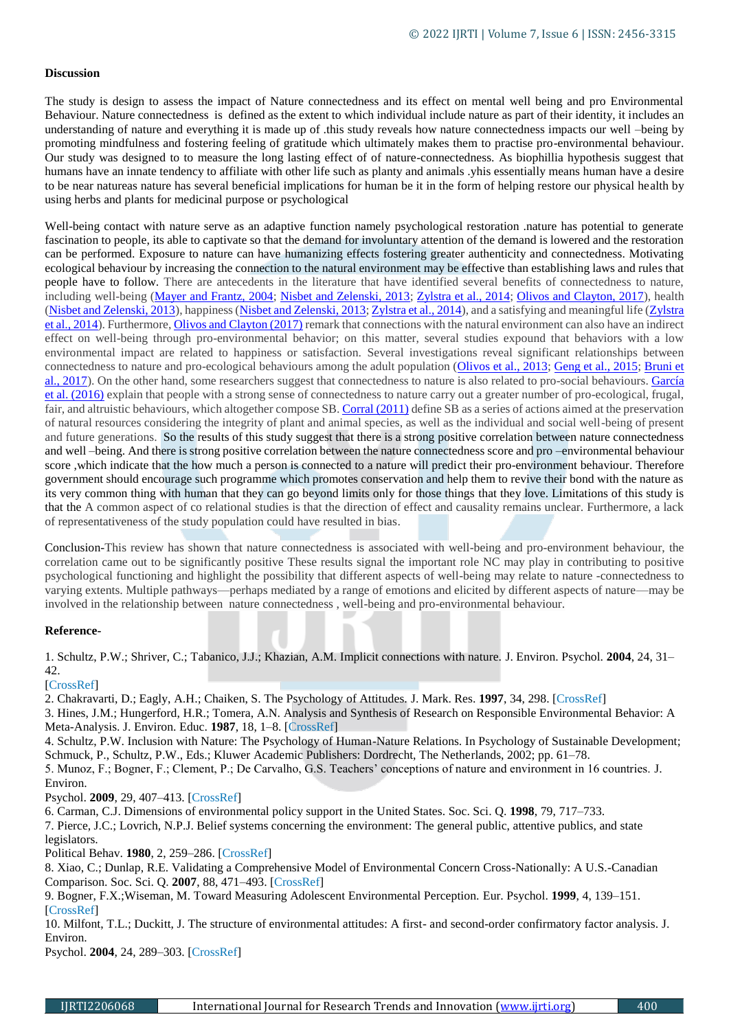## **Discussion**

The study is design to assess the impact of Nature connectedness and its effect on mental well being and pro Environmental Behaviour. Nature connectedness is defined as the extent to which individual include nature as part of their identity, it includes an understanding of nature and everything it is made up of .this study reveals how nature connectedness impacts our well –being by promoting mindfulness and fostering feeling of gratitude which ultimately makes them to practise pro-environmental behaviour. Our study was designed to to measure the long lasting effect of of nature-connectedness. As biophillia hypothesis suggest that humans have an innate tendency to affiliate with other life such as planty and animals .yhis essentially means human have a desire to be near natureas nature has several beneficial implications for human be it in the form of helping restore our physical health by using herbs and plants for medicinal purpose or psychological

Well-being contact with nature serve as an adaptive function namely psychological restoration .nature has potential to generate fascination to people, its able to captivate so that the demand for involuntary attention of the demand is lowered and the restoration can be performed. Exposure to nature can have humanizing effects fostering greater authenticity and connectedness. Motivating ecological behaviour by increasing the connection to the natural environment may be effective than establishing laws and rules that people have to follow. There are antecedents in the literature that have identified several benefits of connectedness to nature, including well-being [\(Mayer and Frantz, 2004;](https://www.frontiersin.org/articles/10.3389/fpsyg.2020.00276/full#B19) [Nisbet and Zelenski, 2013;](https://www.frontiersin.org/articles/10.3389/fpsyg.2020.00276/full#B20) [Zylstra et al., 2014;](https://www.frontiersin.org/articles/10.3389/fpsyg.2020.00276/full#B26) [Olivos and Clayton, 2017\)](https://www.frontiersin.org/articles/10.3389/fpsyg.2020.00276/full#B23), health [\(Nisbet and Zelenski, 2013\)](https://www.frontiersin.org/articles/10.3389/fpsyg.2020.00276/full#B20), happiness [\(Nisbet and Zelenski, 2013;](https://www.frontiersin.org/articles/10.3389/fpsyg.2020.00276/full#B20) [Zylstra et al., 2014\)](https://www.frontiersin.org/articles/10.3389/fpsyg.2020.00276/full#B26), and a satisfying and meaningful life (Zylstra [et al., 2014\)](https://www.frontiersin.org/articles/10.3389/fpsyg.2020.00276/full#B26). Furthermore, [Olivos and Clayton \(2017\)](https://www.frontiersin.org/articles/10.3389/fpsyg.2020.00276/full#B23) remark that connections with the natural environment can also have an indirect effect on well-being through pro-environmental behavior; on this matter, several studies expound that behaviors with a low environmental impact are related to happiness or satisfaction. Several investigations reveal significant relationships between connectedness to nature and pro-ecological behaviours among the adult population [\(Olivos et al., 2013;](https://www.frontiersin.org/articles/10.3389/fpsyg.2020.00276/full#B22) [Geng et al., 2015;](https://www.frontiersin.org/articles/10.3389/fpsyg.2020.00276/full#B14) [Bruni et](https://www.frontiersin.org/articles/10.3389/fpsyg.2020.00276/full#B5)  [al., 2017\)](https://www.frontiersin.org/articles/10.3389/fpsyg.2020.00276/full#B5). On the other hand, some researchers suggest that connectedness to nature is also related to pro-social behaviours. [García](https://www.frontiersin.org/articles/10.3389/fpsyg.2020.00276/full#B13)  [et al. \(2016\)](https://www.frontiersin.org/articles/10.3389/fpsyg.2020.00276/full#B13) explain that people with a strong sense of connectedness to nature carry out a greater number of pro-ecological, frugal, fair, and altruistic behaviours, which altogether compose SB. [Corral \(2011\)](https://www.frontiersin.org/articles/10.3389/fpsyg.2020.00276/full#B9) define SB as a series of actions aimed at the preservation of natural resources considering the integrity of plant and animal species, as well as the individual and social well-being of present and future generations. So the results of this study suggest that there is a strong positive correlation between nature connectedness and well –being. And there is strong positive correlation between the nature connectedness score and pro –environmental behaviour score ,which indicate that the how much a person is connected to a nature will predict their pro-environment behaviour. Therefore government should encourage such programme which promotes conservation and help them to revive their bond with the nature as its very common thing with human that they can go beyond limits only for those things that they love. Limitations of this study is that the A common aspect of co relational studies is that the direction of effect and causality remains unclear. Furthermore, a lack of representativeness of the study population could have resulted in bias.

Conclusion-This review has shown that nature connectedness is associated with well-being and pro-environment behaviour, the correlation came out to be significantly positive These results signal the important role NC may play in contributing to positive psychological functioning and highlight the possibility that different aspects of well-being may relate to nature -connectedness to varying extents. Multiple pathways—perhaps mediated by a range of emotions and elicited by different aspects of nature—may be involved in the relationship between nature connectedness , well-being and pro-environmental behaviour.

## **Reference-**

1. Schultz, P.W.; Shriver, C.; Tabanico, J.J.; Khazian, A.M. Implicit connections with nature. J. Environ. Psychol. **2004**, 24, 31– 42.

## [CrossRef]

2. Chakravarti, D.; Eagly, A.H.; Chaiken, S. The Psychology of Attitudes. J. Mark. Res. **1997**, 34, 298. [CrossRef] 3. Hines, J.M.; Hungerford, H.R.; Tomera, A.N. Analysis and Synthesis of Research on Responsible Environmental Behavior: A

Meta-Analysis. J. Environ. Educ. **1987**, 18, 1–8. [CrossRef] 4. Schultz, P.W. Inclusion with Nature: The Psychology of Human-Nature Relations. In Psychology of Sustainable Development; Schmuck, P., Schultz, P.W., Eds.; Kluwer Academic Publishers: Dordrecht, The Netherlands, 2002; pp. 61–78.

5. Munoz, F.; Bogner, F.; Clement, P.; De Carvalho, G.S. Teachers' conceptions of nature and environment in 16 countries. J. Environ.

Psychol. **2009**, 29, 407–413. [CrossRef]

6. Carman, C.J. Dimensions of environmental policy support in the United States. Soc. Sci. Q. **1998**, 79, 717–733.

7. Pierce, J.C.; Lovrich, N.P.J. Belief systems concerning the environment: The general public, attentive publics, and state legislators.

Political Behav. **1980**, 2, 259–286. [CrossRef]

8. Xiao, C.; Dunlap, R.E. Validating a Comprehensive Model of Environmental Concern Cross-Nationally: A U.S.-Canadian Comparison. Soc. Sci. Q. **2007**, 88, 471–493. [CrossRef]

9. Bogner, F.X.;Wiseman, M. Toward Measuring Adolescent Environmental Perception. Eur. Psychol. **1999**, 4, 139–151. [CrossRef]

10. Milfont, T.L.; Duckitt, J. The structure of environmental attitudes: A first- and second-order confirmatory factor analysis. J. Environ.

Psychol. **2004**, 24, 289–303. [CrossRef]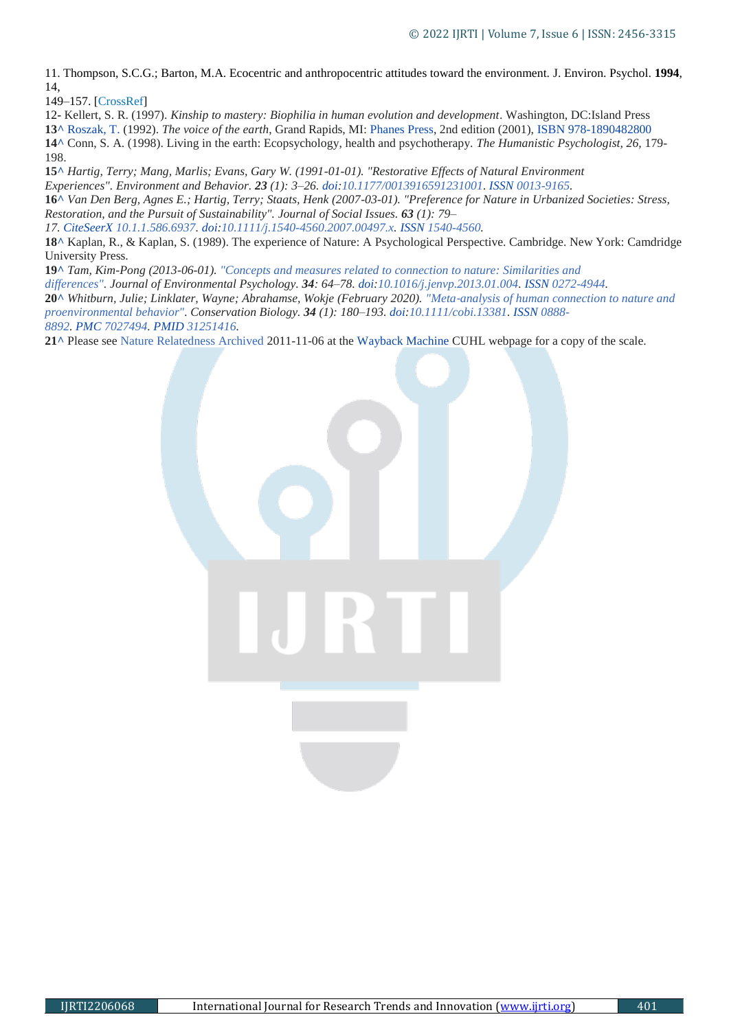11. Thompson, S.C.G.; Barton, M.A. Ecocentric and anthropocentric attitudes toward the environment. J. Environ. Psychol. **1994**, 14,

149–157. [CrossRef]

12- Kellert, S. R. (1997). *Kinship to mastery: Biophilia in human evolution and development*. Washington, DC:Island Press

**1[3^](https://en.wikipedia.org/wiki/Nature_connectedness#cite_ref-Roszak,_T._1992_14-0)** [Roszak, T.](https://en.wikipedia.org/wiki/Theodore_Roszak_(scholar)) (1992). *The voice of the earth*, Grand Rapids, MI: [Phanes Press,](https://en.wikipedia.org/wiki/Phanes_Press) 2nd edition (2001), [ISBN](https://en.wikipedia.org/wiki/ISBN_(identifier)) [978-1890482800](https://en.wikipedia.org/wiki/Special:BookSources/978-1890482800)

**1[4^](https://en.wikipedia.org/wiki/Nature_connectedness#cite_ref-Conn,_S._A._1998_15-0)** Conn, S. A. (1998). Living in the earth: Ecopsychology, health and psychotherapy. *The Humanistic Psychologist, 26,* 179- 198.

**1[5^](https://en.wikipedia.org/wiki/Nature_connectedness#cite_ref-16)** *Hartig, Terry; Mang, Marlis; Evans, Gary W. (1991-01-01). "Restorative Effects of Natural Environment* 

*Experiences". Environment and Behavior. 23 (1): 3–26. [doi](https://en.wikipedia.org/wiki/Doi_(identifier))[:10.1177/0013916591231001.](https://doi.org/10.1177%2F0013916591231001) [ISSN](https://en.wikipedia.org/wiki/ISSN_(identifier)) [0013-9165.](https://www.worldcat.org/issn/0013-9165)*

**1[6^](https://en.wikipedia.org/wiki/Nature_connectedness#cite_ref-17)** *Van Den Berg, Agnes E.; Hartig, Terry; Staats, Henk (2007-03-01). "Preference for Nature in Urbanized Societies: Stress, Restoration, and the Pursuit of Sustainability". Journal of Social Issues. 63 (1): 79–*

*17. [CiteSeerX](https://en.wikipedia.org/wiki/CiteSeerX_(identifier)) [10.1.1.586.6937.](https://citeseerx.ist.psu.edu/viewdoc/summary?doi=10.1.1.586.6937) [doi:](https://en.wikipedia.org/wiki/Doi_(identifier))[10.1111/j.1540-4560.2007.00497.x.](https://doi.org/10.1111%2Fj.1540-4560.2007.00497.x) [ISSN](https://en.wikipedia.org/wiki/ISSN_(identifier)) [1540-4560.](https://www.worldcat.org/issn/1540-4560)*

**1[8^](https://en.wikipedia.org/wiki/Nature_connectedness#cite_ref-18)** Kaplan, R., & Kaplan, S. (1989). The experience of Nature: A Psychological Perspective. Cambridge. New York: Camdridge University Press.

**1[9^](https://en.wikipedia.org/wiki/Nature_connectedness#cite_ref-19)** *Tam, Kim-Pong (2013-06-01). ["Concepts and measures related to connection to nature: Similarities and](https://www.sciencedirect.com/science/article/pii/S0272494413000066)* 

*[differences".](https://www.sciencedirect.com/science/article/pii/S0272494413000066) Journal of Environmental Psychology. 34: 64–78. [doi](https://en.wikipedia.org/wiki/Doi_(identifier))[:10.1016/j.jenvp.2013.01.004.](https://doi.org/10.1016%2Fj.jenvp.2013.01.004) [ISSN](https://en.wikipedia.org/wiki/ISSN_(identifier)) [0272-4944.](https://www.worldcat.org/issn/0272-4944)*

**2[0^](https://en.wikipedia.org/wiki/Nature_connectedness#cite_ref-20)** *Whitburn, Julie; Linklater, Wayne; Abrahamse, Wokje (February 2020). "Meta*‐*[analysis of human connection to nature and](https://onlinelibrary.wiley.com/doi/10.1111/cobi.13381)  [proenvironmental behavior".](https://onlinelibrary.wiley.com/doi/10.1111/cobi.13381) Conservation Biology. 34 (1): 180–193. [doi](https://en.wikipedia.org/wiki/Doi_(identifier))[:10.1111/cobi.13381.](https://doi.org/10.1111%2Fcobi.13381) [ISSN](https://en.wikipedia.org/wiki/ISSN_(identifier)) [0888-](https://www.worldcat.org/issn/0888-8892) [8892.](https://www.worldcat.org/issn/0888-8892) [PMC](https://en.wikipedia.org/wiki/PMC_(identifier)) [7027494.](https://www.ncbi.nlm.nih.gov/pmc/articles/PMC7027494) [PMID](https://en.wikipedia.org/wiki/PMID_(identifier)) [31251416.](https://pubmed.ncbi.nlm.nih.gov/31251416)*

**2[1^](https://en.wikipedia.org/wiki/Nature_connectedness#cite_ref-21)** Please see [Nature Relatedness](http://cuhl.carleton.ca/Nisbet/E_Nisbet_Website-CU/Nature_Relatedness.html) [Archived](https://web.archive.org/web/20111106040423/http:/cuhl.carleton.ca/Nisbet/E_Nisbet_Website-CU/Nature_Relatedness.html) 2011-11-06 at the [Wayback Machine](https://en.wikipedia.org/wiki/Wayback_Machine) CUHL webpage for a copy of the scale.